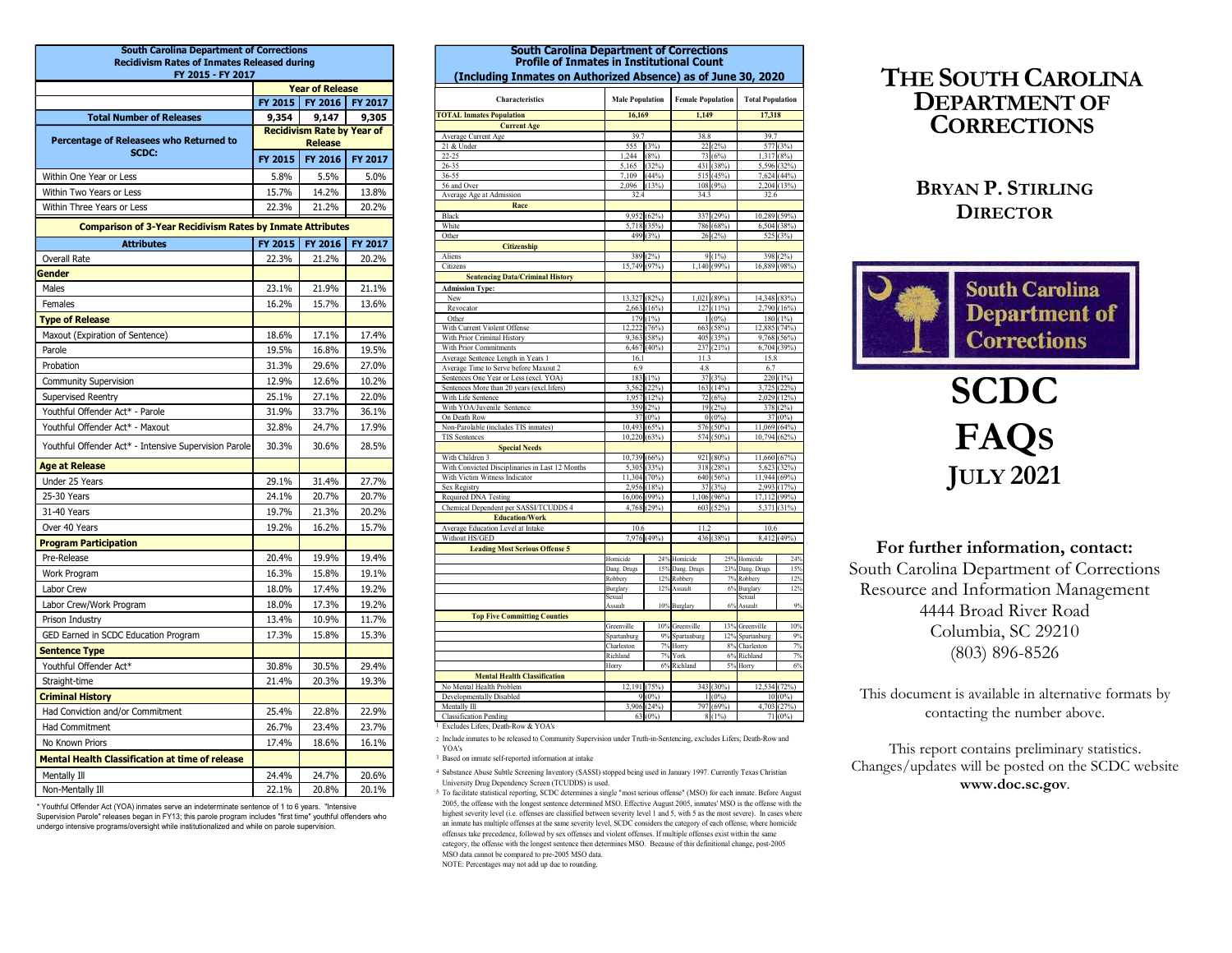| <b>Recidivism Rates of Inmates Released during</b><br>FY 2015 - FY 2017<br><b>Year of Release</b><br>FY 2016<br><b>FY 2017</b><br>FY 2015<br>9,147<br><b>Total Number of Releases</b><br>9,354<br>9,305<br><b>Recidivism Rate by Year of</b><br>Percentage of Releasees who Returned to<br><b>Release</b><br>21 & Under<br>SCDC:<br>$22 - 25$<br>FY 2015<br>FY 2016<br><b>FY 2017</b><br>26-35<br>5.5%<br>36-55<br>5.8%<br>5.0%<br>Within One Year or Less<br>56 and Over<br>Within Two Years or Less<br>15.7%<br>14.2%<br>13.8%<br>22.3%<br>21.2%<br>20.2%<br>Within Three Years or Less<br>Black<br>White<br><b>Comparison of 3-Year Recidivism Rates by Inmate Attributes</b><br>Other<br>FY 2015<br>FY 2016<br><b>FY 2017</b><br><b>Attributes</b><br>21.2%<br>Aliens<br>22.3%<br>20.2%<br>Overall Rate<br>Citizens<br>Gender<br>21.1%<br>23.1%<br>21.9%<br>Males<br><b>Admission Type:</b><br>New<br>16.2%<br>15.7%<br>13.6%<br>Females<br>Revocator<br>Other<br><b>Type of Release</b><br>Maxout (Expiration of Sentence)<br>18.6%<br>17.1%<br>17.4%<br>19.5%<br>16.8%<br>19.5%<br>Parole<br>27.0%<br>31.3%<br>29.6%<br>Probation<br>12.9%<br>12.6%<br>10.2%<br><b>Community Supervision</b><br>25.1%<br>27.1%<br>22.0%<br>Supervised Reentry<br>Youthful Offender Act* - Parole<br>31.9%<br>33.7%<br>36.1%<br>On Death Row<br>Youthful Offender Act* - Maxout<br>32.8%<br>24.7%<br>17.9%<br>TIS Sentences<br>Youthful Offender Act* - Intensive Supervision Parole<br>30.3%<br>30.6%<br>28.5%<br>With Children 3<br><b>Age at Release</b><br>Under 25 Years<br>29.1%<br>31.4%<br>27.7%<br>Sex Registry<br>25-30 Years<br>24.1%<br>20.7%<br>20.7%<br>31-40 Years<br>19.7%<br>21.3%<br>20.2%<br>Over 40 Years<br>19.2%<br>16.2%<br>15.7%<br><b>Program Participation</b><br>20.4%<br>19.9%<br>19.4%<br>Pre-Release<br>Work Program<br>16.3%<br>15.8%<br>19.1%<br>18.0%<br>17.4%<br>19.2%<br>Labor Crew<br>17.3%<br>19.2%<br>18.0%<br>Labor Crew/Work Program<br>13.4%<br>10.9%<br>11.7%<br>Prison Industry<br>GED Earned in SCDC Education Program<br>17.3%<br>15.8%<br>15.3% | <b>Profile of Inmates in Institutional Count</b><br>(Including Inmates on Authorized Absence) as of June 30, 2020<br>Characteristics<br><b>COTAL Inmates Population</b><br><b>Current Age</b><br>Average Current Age<br>Average Age at Admission<br>Race<br><b>Citizenship</b> | <b>Male Population</b><br>16,169<br>39.7<br>1,244<br>5,165<br>7,109<br>2,096<br>32.4 | 555 (3%)<br>(8%)            | <b>Female Population</b><br>1.149<br>38.8                                                                                       |                          | <b>Total Popul</b><br>17,318<br>39.7<br>577 |
|------------------------------------------------------------------------------------------------------------------------------------------------------------------------------------------------------------------------------------------------------------------------------------------------------------------------------------------------------------------------------------------------------------------------------------------------------------------------------------------------------------------------------------------------------------------------------------------------------------------------------------------------------------------------------------------------------------------------------------------------------------------------------------------------------------------------------------------------------------------------------------------------------------------------------------------------------------------------------------------------------------------------------------------------------------------------------------------------------------------------------------------------------------------------------------------------------------------------------------------------------------------------------------------------------------------------------------------------------------------------------------------------------------------------------------------------------------------------------------------------------------------------------------------------------------------------------------------------------------------------------------------------------------------------------------------------------------------------------------------------------------------------------------------------------------------------------------------------------------------------------------------------------------------------------------------------------------------------------------------------------------------------------------------------------------------------------------|--------------------------------------------------------------------------------------------------------------------------------------------------------------------------------------------------------------------------------------------------------------------------------|--------------------------------------------------------------------------------------|-----------------------------|---------------------------------------------------------------------------------------------------------------------------------|--------------------------|---------------------------------------------|
|                                                                                                                                                                                                                                                                                                                                                                                                                                                                                                                                                                                                                                                                                                                                                                                                                                                                                                                                                                                                                                                                                                                                                                                                                                                                                                                                                                                                                                                                                                                                                                                                                                                                                                                                                                                                                                                                                                                                                                                                                                                                                    |                                                                                                                                                                                                                                                                                |                                                                                      |                             |                                                                                                                                 |                          |                                             |
|                                                                                                                                                                                                                                                                                                                                                                                                                                                                                                                                                                                                                                                                                                                                                                                                                                                                                                                                                                                                                                                                                                                                                                                                                                                                                                                                                                                                                                                                                                                                                                                                                                                                                                                                                                                                                                                                                                                                                                                                                                                                                    |                                                                                                                                                                                                                                                                                |                                                                                      |                             |                                                                                                                                 |                          |                                             |
|                                                                                                                                                                                                                                                                                                                                                                                                                                                                                                                                                                                                                                                                                                                                                                                                                                                                                                                                                                                                                                                                                                                                                                                                                                                                                                                                                                                                                                                                                                                                                                                                                                                                                                                                                                                                                                                                                                                                                                                                                                                                                    |                                                                                                                                                                                                                                                                                |                                                                                      |                             |                                                                                                                                 |                          |                                             |
|                                                                                                                                                                                                                                                                                                                                                                                                                                                                                                                                                                                                                                                                                                                                                                                                                                                                                                                                                                                                                                                                                                                                                                                                                                                                                                                                                                                                                                                                                                                                                                                                                                                                                                                                                                                                                                                                                                                                                                                                                                                                                    |                                                                                                                                                                                                                                                                                |                                                                                      |                             |                                                                                                                                 |                          |                                             |
|                                                                                                                                                                                                                                                                                                                                                                                                                                                                                                                                                                                                                                                                                                                                                                                                                                                                                                                                                                                                                                                                                                                                                                                                                                                                                                                                                                                                                                                                                                                                                                                                                                                                                                                                                                                                                                                                                                                                                                                                                                                                                    |                                                                                                                                                                                                                                                                                |                                                                                      |                             |                                                                                                                                 | 22(2%)                   |                                             |
|                                                                                                                                                                                                                                                                                                                                                                                                                                                                                                                                                                                                                                                                                                                                                                                                                                                                                                                                                                                                                                                                                                                                                                                                                                                                                                                                                                                                                                                                                                                                                                                                                                                                                                                                                                                                                                                                                                                                                                                                                                                                                    |                                                                                                                                                                                                                                                                                |                                                                                      | (32%)                       |                                                                                                                                 | 73 (6%)<br>431 (38%)     | 1,317<br>5,596                              |
|                                                                                                                                                                                                                                                                                                                                                                                                                                                                                                                                                                                                                                                                                                                                                                                                                                                                                                                                                                                                                                                                                                                                                                                                                                                                                                                                                                                                                                                                                                                                                                                                                                                                                                                                                                                                                                                                                                                                                                                                                                                                                    |                                                                                                                                                                                                                                                                                |                                                                                      | (44%)<br>(13%)              |                                                                                                                                 | 515 (45%)<br>$108(9\%)$  | 7,624<br>2,204                              |
|                                                                                                                                                                                                                                                                                                                                                                                                                                                                                                                                                                                                                                                                                                                                                                                                                                                                                                                                                                                                                                                                                                                                                                                                                                                                                                                                                                                                                                                                                                                                                                                                                                                                                                                                                                                                                                                                                                                                                                                                                                                                                    |                                                                                                                                                                                                                                                                                |                                                                                      |                             | 34.3                                                                                                                            |                          | 32.6                                        |
|                                                                                                                                                                                                                                                                                                                                                                                                                                                                                                                                                                                                                                                                                                                                                                                                                                                                                                                                                                                                                                                                                                                                                                                                                                                                                                                                                                                                                                                                                                                                                                                                                                                                                                                                                                                                                                                                                                                                                                                                                                                                                    |                                                                                                                                                                                                                                                                                |                                                                                      | 9,952 (62%)                 |                                                                                                                                 | 337 (29%)                | 10,289                                      |
|                                                                                                                                                                                                                                                                                                                                                                                                                                                                                                                                                                                                                                                                                                                                                                                                                                                                                                                                                                                                                                                                                                                                                                                                                                                                                                                                                                                                                                                                                                                                                                                                                                                                                                                                                                                                                                                                                                                                                                                                                                                                                    |                                                                                                                                                                                                                                                                                |                                                                                      | 5,718 (35%)<br>499(3%)      |                                                                                                                                 | 786 (68%)<br>26(2%)      | 6,504<br>525                                |
|                                                                                                                                                                                                                                                                                                                                                                                                                                                                                                                                                                                                                                                                                                                                                                                                                                                                                                                                                                                                                                                                                                                                                                                                                                                                                                                                                                                                                                                                                                                                                                                                                                                                                                                                                                                                                                                                                                                                                                                                                                                                                    |                                                                                                                                                                                                                                                                                |                                                                                      |                             |                                                                                                                                 |                          |                                             |
|                                                                                                                                                                                                                                                                                                                                                                                                                                                                                                                                                                                                                                                                                                                                                                                                                                                                                                                                                                                                                                                                                                                                                                                                                                                                                                                                                                                                                                                                                                                                                                                                                                                                                                                                                                                                                                                                                                                                                                                                                                                                                    |                                                                                                                                                                                                                                                                                |                                                                                      | 389(2%)<br>15,749 (97%)     |                                                                                                                                 | 9(1%)<br>1,140(99%)      | 398<br>16,889                               |
|                                                                                                                                                                                                                                                                                                                                                                                                                                                                                                                                                                                                                                                                                                                                                                                                                                                                                                                                                                                                                                                                                                                                                                                                                                                                                                                                                                                                                                                                                                                                                                                                                                                                                                                                                                                                                                                                                                                                                                                                                                                                                    | <b>Sentencing Data/Criminal History</b>                                                                                                                                                                                                                                        |                                                                                      |                             |                                                                                                                                 |                          |                                             |
|                                                                                                                                                                                                                                                                                                                                                                                                                                                                                                                                                                                                                                                                                                                                                                                                                                                                                                                                                                                                                                                                                                                                                                                                                                                                                                                                                                                                                                                                                                                                                                                                                                                                                                                                                                                                                                                                                                                                                                                                                                                                                    |                                                                                                                                                                                                                                                                                | 13,327 (82%)                                                                         |                             |                                                                                                                                 | 1,021(89%)               | 14,348                                      |
|                                                                                                                                                                                                                                                                                                                                                                                                                                                                                                                                                                                                                                                                                                                                                                                                                                                                                                                                                                                                                                                                                                                                                                                                                                                                                                                                                                                                                                                                                                                                                                                                                                                                                                                                                                                                                                                                                                                                                                                                                                                                                    |                                                                                                                                                                                                                                                                                |                                                                                      | 2,663(16%)<br>179(1%)       |                                                                                                                                 | 127(11%)<br>$1(0\%)$     | 2,790<br>180                                |
|                                                                                                                                                                                                                                                                                                                                                                                                                                                                                                                                                                                                                                                                                                                                                                                                                                                                                                                                                                                                                                                                                                                                                                                                                                                                                                                                                                                                                                                                                                                                                                                                                                                                                                                                                                                                                                                                                                                                                                                                                                                                                    | With Current Violent Offense<br>With Prior Criminal History                                                                                                                                                                                                                    |                                                                                      | 12,222(76%)<br>9,363(58%)   |                                                                                                                                 | 663 (58%)<br>405(35%)    | 12,885<br>9,768                             |
|                                                                                                                                                                                                                                                                                                                                                                                                                                                                                                                                                                                                                                                                                                                                                                                                                                                                                                                                                                                                                                                                                                                                                                                                                                                                                                                                                                                                                                                                                                                                                                                                                                                                                                                                                                                                                                                                                                                                                                                                                                                                                    | With Prior Commitments                                                                                                                                                                                                                                                         |                                                                                      | 6,467(40%)                  |                                                                                                                                 | 237 (21%)                | 6,704                                       |
|                                                                                                                                                                                                                                                                                                                                                                                                                                                                                                                                                                                                                                                                                                                                                                                                                                                                                                                                                                                                                                                                                                                                                                                                                                                                                                                                                                                                                                                                                                                                                                                                                                                                                                                                                                                                                                                                                                                                                                                                                                                                                    | Average Sentence Length in Years 1<br>Average Time to Serve before Maxout 2                                                                                                                                                                                                    | 16.1<br>6.9                                                                          |                             | 11.3<br>4.8                                                                                                                     |                          | 15.8<br>6.7                                 |
|                                                                                                                                                                                                                                                                                                                                                                                                                                                                                                                                                                                                                                                                                                                                                                                                                                                                                                                                                                                                                                                                                                                                                                                                                                                                                                                                                                                                                                                                                                                                                                                                                                                                                                                                                                                                                                                                                                                                                                                                                                                                                    | Sentences One Year or Less (excl. YOA)<br>Sentences More than 20 years (excl.lifers)                                                                                                                                                                                           |                                                                                      | 183(1%)<br>3,562 (22%)      |                                                                                                                                 | 37(3%)<br>163(14%)       | 220<br>3,725                                |
|                                                                                                                                                                                                                                                                                                                                                                                                                                                                                                                                                                                                                                                                                                                                                                                                                                                                                                                                                                                                                                                                                                                                                                                                                                                                                                                                                                                                                                                                                                                                                                                                                                                                                                                                                                                                                                                                                                                                                                                                                                                                                    | With Life Sentence<br>With YOA/Juvenile Sentence                                                                                                                                                                                                                               |                                                                                      | 1,957 (12%)<br>359(2%)      |                                                                                                                                 | 72 (6%)<br>19(2%)        | 2,029<br>378                                |
|                                                                                                                                                                                                                                                                                                                                                                                                                                                                                                                                                                                                                                                                                                                                                                                                                                                                                                                                                                                                                                                                                                                                                                                                                                                                                                                                                                                                                                                                                                                                                                                                                                                                                                                                                                                                                                                                                                                                                                                                                                                                                    |                                                                                                                                                                                                                                                                                |                                                                                      | 37(0%)                      |                                                                                                                                 | $0(0\%)$                 | 37                                          |
|                                                                                                                                                                                                                                                                                                                                                                                                                                                                                                                                                                                                                                                                                                                                                                                                                                                                                                                                                                                                                                                                                                                                                                                                                                                                                                                                                                                                                                                                                                                                                                                                                                                                                                                                                                                                                                                                                                                                                                                                                                                                                    | Non-Parolable (includes TIS inmates)                                                                                                                                                                                                                                           | 10,220(63%)                                                                          | 10,493(65%)                 |                                                                                                                                 | 576 (50%)<br>574 (50%)   | 11,069<br>10,794                            |
|                                                                                                                                                                                                                                                                                                                                                                                                                                                                                                                                                                                                                                                                                                                                                                                                                                                                                                                                                                                                                                                                                                                                                                                                                                                                                                                                                                                                                                                                                                                                                                                                                                                                                                                                                                                                                                                                                                                                                                                                                                                                                    | <b>Special Needs</b>                                                                                                                                                                                                                                                           |                                                                                      | 10,739 (66%)                |                                                                                                                                 | 921 (80%)                | 11,660                                      |
|                                                                                                                                                                                                                                                                                                                                                                                                                                                                                                                                                                                                                                                                                                                                                                                                                                                                                                                                                                                                                                                                                                                                                                                                                                                                                                                                                                                                                                                                                                                                                                                                                                                                                                                                                                                                                                                                                                                                                                                                                                                                                    | With Convicted Disciplinaries in Last 12 Months<br>With Victim Witness Indicator                                                                                                                                                                                               |                                                                                      | 5,305 (33%)<br>11,304(70%)  |                                                                                                                                 | 318 (28%)<br>640 (56%)   | 5,623<br>11,944                             |
|                                                                                                                                                                                                                                                                                                                                                                                                                                                                                                                                                                                                                                                                                                                                                                                                                                                                                                                                                                                                                                                                                                                                                                                                                                                                                                                                                                                                                                                                                                                                                                                                                                                                                                                                                                                                                                                                                                                                                                                                                                                                                    |                                                                                                                                                                                                                                                                                | 2,956                                                                                | (18%)                       |                                                                                                                                 | 37(3%)                   | 2,993                                       |
|                                                                                                                                                                                                                                                                                                                                                                                                                                                                                                                                                                                                                                                                                                                                                                                                                                                                                                                                                                                                                                                                                                                                                                                                                                                                                                                                                                                                                                                                                                                                                                                                                                                                                                                                                                                                                                                                                                                                                                                                                                                                                    | Required DNA Testing<br>Chemical Dependent per SASSI/TCUDDS 4                                                                                                                                                                                                                  |                                                                                      | 16,006 (99%)<br>4,768 (29%) |                                                                                                                                 | 1,106 (96%)<br>603 (52%) | 17,112<br>5,371                             |
|                                                                                                                                                                                                                                                                                                                                                                                                                                                                                                                                                                                                                                                                                                                                                                                                                                                                                                                                                                                                                                                                                                                                                                                                                                                                                                                                                                                                                                                                                                                                                                                                                                                                                                                                                                                                                                                                                                                                                                                                                                                                                    | <b>Education/Work</b><br>Average Education Level at Intake                                                                                                                                                                                                                     | 10.6                                                                                 |                             | 11.2                                                                                                                            |                          | 10.6                                        |
|                                                                                                                                                                                                                                                                                                                                                                                                                                                                                                                                                                                                                                                                                                                                                                                                                                                                                                                                                                                                                                                                                                                                                                                                                                                                                                                                                                                                                                                                                                                                                                                                                                                                                                                                                                                                                                                                                                                                                                                                                                                                                    | Without HS/GED                                                                                                                                                                                                                                                                 |                                                                                      | 7,976 (49%)                 |                                                                                                                                 | 436 (38%)                | $8,412$ <sup>(</sup>                        |
|                                                                                                                                                                                                                                                                                                                                                                                                                                                                                                                                                                                                                                                                                                                                                                                                                                                                                                                                                                                                                                                                                                                                                                                                                                                                                                                                                                                                                                                                                                                                                                                                                                                                                                                                                                                                                                                                                                                                                                                                                                                                                    | <b>Leading Most Serious Offense 5</b>                                                                                                                                                                                                                                          | Homicide                                                                             |                             | 24% Homicide                                                                                                                    |                          | 25% Homicide                                |
|                                                                                                                                                                                                                                                                                                                                                                                                                                                                                                                                                                                                                                                                                                                                                                                                                                                                                                                                                                                                                                                                                                                                                                                                                                                                                                                                                                                                                                                                                                                                                                                                                                                                                                                                                                                                                                                                                                                                                                                                                                                                                    |                                                                                                                                                                                                                                                                                | Dang. Drugs<br>Robbery                                                               | 15%<br>12%                  | Dang. Drugs<br>Robbery                                                                                                          | 23%<br>7%                | Dang. Drugs<br>Robbery                      |
|                                                                                                                                                                                                                                                                                                                                                                                                                                                                                                                                                                                                                                                                                                                                                                                                                                                                                                                                                                                                                                                                                                                                                                                                                                                                                                                                                                                                                                                                                                                                                                                                                                                                                                                                                                                                                                                                                                                                                                                                                                                                                    |                                                                                                                                                                                                                                                                                | Burglary<br>Sexual                                                                   | 12%                         | Assault                                                                                                                         |                          | 6% Burglary<br>sexual                       |
|                                                                                                                                                                                                                                                                                                                                                                                                                                                                                                                                                                                                                                                                                                                                                                                                                                                                                                                                                                                                                                                                                                                                                                                                                                                                                                                                                                                                                                                                                                                                                                                                                                                                                                                                                                                                                                                                                                                                                                                                                                                                                    |                                                                                                                                                                                                                                                                                | Assault                                                                              |                             | 10% Burglary                                                                                                                    | 6%                       | Assault                                     |
|                                                                                                                                                                                                                                                                                                                                                                                                                                                                                                                                                                                                                                                                                                                                                                                                                                                                                                                                                                                                                                                                                                                                                                                                                                                                                                                                                                                                                                                                                                                                                                                                                                                                                                                                                                                                                                                                                                                                                                                                                                                                                    | <b>Top Five Committing Counties</b>                                                                                                                                                                                                                                            | Greenville                                                                           |                             | 10% Greenville                                                                                                                  |                          | 13% Greenville                              |
|                                                                                                                                                                                                                                                                                                                                                                                                                                                                                                                                                                                                                                                                                                                                                                                                                                                                                                                                                                                                                                                                                                                                                                                                                                                                                                                                                                                                                                                                                                                                                                                                                                                                                                                                                                                                                                                                                                                                                                                                                                                                                    |                                                                                                                                                                                                                                                                                | Spartanburg<br>Charleston                                                            |                             | 9% Spartanburg<br>7% Horry                                                                                                      |                          | 12% Spartanburg<br>8% Charleston            |
| <b>Sentence Type</b>                                                                                                                                                                                                                                                                                                                                                                                                                                                                                                                                                                                                                                                                                                                                                                                                                                                                                                                                                                                                                                                                                                                                                                                                                                                                                                                                                                                                                                                                                                                                                                                                                                                                                                                                                                                                                                                                                                                                                                                                                                                               |                                                                                                                                                                                                                                                                                | Richland                                                                             |                             | 7% York                                                                                                                         | 5%                       | 6% Richland                                 |
| Youthful Offender Act*<br>29.4%<br>30.8%<br>30.5%<br>21.4%<br>20.3%<br>19.3%<br>Straight-time                                                                                                                                                                                                                                                                                                                                                                                                                                                                                                                                                                                                                                                                                                                                                                                                                                                                                                                                                                                                                                                                                                                                                                                                                                                                                                                                                                                                                                                                                                                                                                                                                                                                                                                                                                                                                                                                                                                                                                                      | <b>Mental Health Classification</b>                                                                                                                                                                                                                                            | Horry                                                                                |                             | 6% Richland                                                                                                                     |                          | Horry                                       |
| <b>Criminal History</b>                                                                                                                                                                                                                                                                                                                                                                                                                                                                                                                                                                                                                                                                                                                                                                                                                                                                                                                                                                                                                                                                                                                                                                                                                                                                                                                                                                                                                                                                                                                                                                                                                                                                                                                                                                                                                                                                                                                                                                                                                                                            | No Mental Health Problem<br>Developmentally Disabled                                                                                                                                                                                                                           | 12,191 (75%)                                                                         | $9(0\%)$                    |                                                                                                                                 | 343 (30%)<br>$1(0\%)$    | $12,534$ <sup>()</sup><br>10 <sub>l</sub>   |
| Mentally Ill<br>22.9%<br>22.8%<br>Had Conviction and/or Commitment<br>25.4%                                                                                                                                                                                                                                                                                                                                                                                                                                                                                                                                                                                                                                                                                                                                                                                                                                                                                                                                                                                                                                                                                                                                                                                                                                                                                                                                                                                                                                                                                                                                                                                                                                                                                                                                                                                                                                                                                                                                                                                                        | <b>Classification Pending</b>                                                                                                                                                                                                                                                  |                                                                                      | 3,906(24%)<br>$63(0\%)$     |                                                                                                                                 | 797 (69%)<br>8(1%)       | 4,703                                       |
| 26.7%<br>23.4%<br>23.7%<br>Had Commitment                                                                                                                                                                                                                                                                                                                                                                                                                                                                                                                                                                                                                                                                                                                                                                                                                                                                                                                                                                                                                                                                                                                                                                                                                                                                                                                                                                                                                                                                                                                                                                                                                                                                                                                                                                                                                                                                                                                                                                                                                                          | Excludes Lifers, Death-Row & YOA's                                                                                                                                                                                                                                             |                                                                                      |                             |                                                                                                                                 |                          |                                             |
| No Known Priors<br>17.4%<br>18.6%<br>16.1%<br>YOA's                                                                                                                                                                                                                                                                                                                                                                                                                                                                                                                                                                                                                                                                                                                                                                                                                                                                                                                                                                                                                                                                                                                                                                                                                                                                                                                                                                                                                                                                                                                                                                                                                                                                                                                                                                                                                                                                                                                                                                                                                                | 2 Include inmates to be released to Community Supervision under Truth-in-Sentencing, excludes Lifers, Death-Row a                                                                                                                                                              |                                                                                      |                             |                                                                                                                                 |                          |                                             |
| <b>Mental Health Classification at time of release</b>                                                                                                                                                                                                                                                                                                                                                                                                                                                                                                                                                                                                                                                                                                                                                                                                                                                                                                                                                                                                                                                                                                                                                                                                                                                                                                                                                                                                                                                                                                                                                                                                                                                                                                                                                                                                                                                                                                                                                                                                                             | <sup>3</sup> Based on inmate self-reported information at intake                                                                                                                                                                                                               |                                                                                      |                             |                                                                                                                                 |                          |                                             |
| 24.4%<br>24.7%<br>20.6%<br>Mentally Ill                                                                                                                                                                                                                                                                                                                                                                                                                                                                                                                                                                                                                                                                                                                                                                                                                                                                                                                                                                                                                                                                                                                                                                                                                                                                                                                                                                                                                                                                                                                                                                                                                                                                                                                                                                                                                                                                                                                                                                                                                                            |                                                                                                                                                                                                                                                                                |                                                                                      |                             |                                                                                                                                 |                          |                                             |
| Non-Mentally Ill<br>22.1%<br>20.8%<br>20.1%                                                                                                                                                                                                                                                                                                                                                                                                                                                                                                                                                                                                                                                                                                                                                                                                                                                                                                                                                                                                                                                                                                                                                                                                                                                                                                                                                                                                                                                                                                                                                                                                                                                                                                                                                                                                                                                                                                                                                                                                                                        | 4 Substance Abuse Subtle Screening Inventory (SASSI) stopped being used in January 1997. Currently Texas Christi<br>University Drug Dependency Screen (TCUDDS) is used.                                                                                                        |                                                                                      |                             | <sup>5</sup> To facilitate statistical reporting, SCDC determines a single "most serious offense" (MSO) for each inmate. Before |                          |                                             |

#### Corrections<br> **Example 18 And South Carolina Department of Corrections**<br> **Example 18 And South Carolina Department of Corrections**<br> **FY 2016 FY 2016**<br> **FY 2016 FY 2017**<br> **Example 18 And South Carolina Bendixion Section 20,** Total Number of Releases 9,354 9,147 9,305 Corrections<br> **South Carolina Department of Corrections**<br> **South Carolina Department of Corrections**<br> **FY 2015 FY 2016 FY 2017**<br> **FY 2015 FY 2016 FY 2017**<br> **FY 2015** FY 2016 FY 2017<br> **FY 2015** FR 2017<br> **FY 2015** FR 2017<br> South Carolina Department of Corrections<br>
FY 2015 FY 2015 FY 2017<br>
TRADS FY 2017<br>
TRADS FY 2017<br>
TRADS FY 2017<br>
TRADS FY 2017<br>
TRADS FY 2017<br>
TRADS FY 2017<br>
TRADS FY 2017<br>
Characteristics<br>
FRADS FOR TRADS FY 2017<br>
Charact Average Current Age Release 21 & Under South Carolina Department of Corrections South Carolina Department of Corrections FY 2015 - FY 2017 (Including Inmates on Authorized Absence) as of June 30, 2020 **Year of Release Section Contract Contract Contract Contract Contract Contract Contract Contract Contract Contr** 555 (3%) 22 (2%) 577 (3%) 1,244 (8%) 73 (6%) 1,317 (8%) 5,165 (32%) 431 (38%) 5,596 (32%) 1 (AROLINA (Albertonia) 516 (1896)<br>
1 (Albertonia) Fermale Population Total Population<br>
16.169 (1896)<br>
16.169 (1896)<br>
16.189 (1896)<br>
17.198 (1896)<br>
17.198 (1896)<br>
17.198 (1896)<br>
18.189 (1896)<br>
18.199 (1896)<br>
18.199 (1896)<br> 2,096 (13%) 108 (9%) 2,204 (13%)  $\begin{array}{|l|l|l|} \hline \text{ment of Corrections} \hline \text{Institutional Count} \hline \text{A Absence) as of June 30, 2020} \hline \text{Institutional Count} \hline \text{1.449} \hline \text{1.409} \hline \text{1.419} \hline \text{1.420} \hline \text{1.439} \hline \text{1.449} \hline \text{1.459} \hline \text{1.469} \hline \text{1.473} \hline \text{1.489} \hline \text{1.499} \hline \text{1.409} \hline \text{1$ 5,718 (35%) 786 (68%) 6,504 (38%) 499 (3%) 26 (2%) 525 (3%) 389 (2%) 9 (1%) 398 (2%) 15,749 (97%) 1,140 (99%) 16,889 (98%)  $\begin{array}{|c|c|c|c|c|c|}\hline & \text{Inent of Corrections} & \text{Inset 20,200} & \text{THE SOUTH CAROLINA} & \text{Inset 20,201} & \text{THE SOUTH CAROLINA} & \text{DEPARTMENT OF} & \text{BMSER} & \text{BMSER} & \text{BMSER} & \text{BMSER} & \text{BMSER} & \text{BMSER} & \text{BMSER} & \text{BMSER} & \text{BMSER} & \text{BMSER} & \text{BMSER} & \text{BMSER} & \text{BMSER} & \text{BMSER} & \text{BMSER} & \text{BMSER$ 2,663 (16%) 127 (11%) 2,790 (16%) 179 (1%) 1 (0%) 180 (1%) 12,222 (76%) 663 (58%) 12,885 (74%) Matter and the Corrections<br>
1990 - And The Countries of the Countries of the Countries of the Countries of the Countries of the Countries of the Countries of the Countries of the Countries of the Countries of the Countries FRIESTRE CONTROLLER<br>
FRIESTRE COUTH CAROLINA<br>
THE SOUTH CAROLINA<br>
THE SOUTH CAROLINA<br>
TRIESTRE CORRECTIONS<br>
TRIESTRE CORRECTIONS<br>
TRIES TRIES TO A REAL PROPERTY OF<br>
THE SOUTH CAROLINA<br>
TRIES TRIES TRIES TO A REAL PROPERTY 183 (1%) 37 (3%) 220 (1%) 3,562 (22%) 163 (14%) 3,725 (22%) 1,957 (12%) 1,957 (12%) 1,957 (12%) 1,957 (12%) 1,957 (12%) 1,957 (12%) 1,957 (12%) 1,957 (12%) 1,957 (12%) 1,957 (12%) 1,957 (12%) 1,957 (12%) 1,957 (12%) 1,957 (12%) 1,957 (12%) 1,957 (12%) 1,957 (12%) 1,957 (12%) 1,957 **Except of Scheme of Assessed as Concernent of Assessed as Solution**<br> **Exception Concernent of Assessed Assessed as Solution**<br> **359 (2%)** 2003<br>
<br> **359 (2%)** 379 (2%) 378 (2%) 379 (2%) 378 (2%) 379 (2%) 378 (2%) 378 (2%) 37 37 (0%) 0 (0%) 37 (0%) 10,493 (65%) 576 (50%) 11,069 (64%) 10,220 (63%) 574 (50%) 10,794 (62%) 10,000 (10,000 (10,000 (10,000 (10,000 (10,000 (10,000 (10,000 (10,000 (10,000 (10,000 (10,000 (10,000 (10,000 (10,000 (10,000 (10,000 (10,000 (10,000 (10,000 (10,000 (10,000 (10,000 (10,000 (10,000 (10,000 (10,000 (10,000 **EXERCIS CONSECTIONS**<br>
THE SOUTH CAROLINA<br>
THE SOUTH CAROLINA<br>
THE SOUTH CAROLINA<br>
THE SOUTH CAROLINA<br>
THE SOUTH CAROLINA<br>
THE SOUTH CAROLINA<br>
THE SOUTH CAROLINA<br>
THE SOUTH CAROLINA<br>
THE SOUTH CAROLINA<br>
THE SOUTH CAROLINA<br> 11,300 (11,300 (11,300 (11,300 (11,300 (11,300 (11,300 (11,300 (11,300 (11,300 (11,300 (11,300 (11,300 (11,300 (11,300 (11)300 (11)30 (11)30 (11)30 (11)30 (11)30 (11)30 (11)30 (11)30 (11)30 (11)30 (11)30 (11)30 (11)30 (11) <sup>2,993</sup> (18%) 37 (18%) 37 (18%) 37 (18%) 38% (18%) 38% (18%) 38% (18%) 38% (18%) 38% (18%) 38% (18%) 38% (18%) 38% (18%) 38% (18%) 38% (18%) 38% (18%) 38% (18%) 38% (18%) 38% (18%) 38% (18%) 38% (18%) 38% (18%) 38% (18%) 3 16,006 (99%) 1,106 (96%) 17,112 (99%) 4,768 (29%) 603 (52%) 5,371 (31%)  $\frac{7}{20}$ <br>  $\frac{1}{20}$ <br>  $\frac{1}{20}$ <br>  $\frac{1}{20}$ <br>  $\frac{1}{20}$ <br>  $\frac{1}{20}$ <br>  $\frac{1}{20}$ <br>  $\frac{1}{20}$ <br>  $\frac{1}{20}$ <br>  $\frac{1}{20}$ <br>  $\frac{1}{20}$ <br>  $\frac{1}{20}$ <br>  $\frac{1}{20}$ <br>  $\frac{1}{20}$ <br>  $\frac{1}{20}$ <br>  $\frac{1}{20}$ <br>  $\frac{1}{20}$ <br>  $\frac{1}{20}$ <br>  $\frac{1$  $\frac{\frac{120}{200} \cdot \frac{120}{200} \cdot \frac{120}{200} \cdot \frac{120}{200} \cdot \frac{120}{200} \cdot \frac{120}{200} \cdot \frac{120}{200} \cdot \frac{120}{200} \cdot \frac{120}{200} \cdot \frac{120}{200} \cdot \frac{120}{200} \cdot \frac{120}{200} \cdot \frac{120}{200} \cdot \frac{120}{200} \cdot \frac{120}{200} \cdot \frac{120}{200} \cdot \frac{120}{200$  $RXAN P. STIRLING\n**RECTOR**\n**PRECTOR**\n**RECTION**\n**RECTION**\n**REATION**\n**RECTION**\n**RECTION**\n**RECTION**\n**RECTION**\n**REATION**\n**RECTION**\n**REATION**\n**REATION**\n**REATION**\n**RECTION**\n**REATION**\n**REATION**\n**REATION**\n**REATION**\n**REATION**\n**REATION**$ Burglary 12% Assault 6% Burglary 12% Sexual Assault 10% Burglary 6% Greenville 10% Greenville 13% Greenville 10%  $\frac{360}{\frac{130}{\frac{130}{\frac{130}{\frac{130}{\frac{130}{\frac{130}{\frac{130}{\frac{130}{\frac{130}{\frac{130}{\frac{130}{\frac{130}{\frac{130}{\frac{130}{\frac{130}{\frac{130}{\frac{130}{\frac{130}{\frac{130}{\frac{130}{\frac{130}{\frac{130}{\frac{130}{\frac{130}{\frac{130}{\frac{130}{\frac{130}{\frac{130}{\frac{130}{\frac{130}{\frac{$ Charleston 7% Horry 8% Charleston 7%  $RQs$ <br>  $\frac{1}{2}$   $\frac{1}{2}$   $\frac{1}{2}$   $\frac{1}{2}$   $\frac{1}{2}$   $\frac{1}{2}$   $\frac{1}{2}$   $\frac{1}{2}$   $\frac{1}{2}$   $\frac{1}{2}$   $\frac{1}{2}$   $\frac{1}{2}$   $\frac{1}{2}$   $\frac{1}{2}$   $\frac{1}{2}$   $\frac{1}{2}$   $\frac{1}{2}$   $\frac{1}{2}$   $\frac{1}{2}$   $\frac{1}{2}$   $\frac{1}{2}$   $\frac{$ Horry 6% Richland 5% Horry 6% 12,1920 (12,1920 (12,1930 (12,1930 (12,1930 (12,1930 (12,1930 (12,1930 (12,1930 (12,1930 (12,1930 (12,1930 (12,1930 (12,1930 (12,1930 (12,1930 (12,1930 (12,1930 (12,1930 (12,1930 (12,1930 (12,1930 (12,1930 (12,1930 (12,19 63 (0%) 8 (1%) 71 (0%) <sup>1</sup> Average Contraction Level at the second contract of the second contract of the second contract of the second contract of the second contract of the second contract of the second contract of the second contract of the secon With Convicted Disciplinaries in Last 12 Months  $\overline{5,305(33\%)}$   $\overline{318(28\%)}$   $\overline{5,623(32\%)}$ With Victim Witness Indicator 11,304 (70%) 640 (56%) Sex Registry 2,956(18%) 37(3%)<br>Required DNA Testing 16.006(99%) 1,106(96%) Required DNA Testing 16.006 (99%) 1.106 (96%) 17.112 (99%) Chemical Dependent per SASSI/TCUDDS 4 4,768 (29%) 603 (52%) 5,371 Sentences One Vear or Less (excl. YOA)<br>
Sentences More than 20 years (excl.<br>
if  $\frac{3.862(22%)}{1.63(14%)}$ <br>
With Life Sentence<br>
Whit Life Sentence<br>
The NYOAJuvenile Sentence<br>
The NYOAJuvenile Sentence<br>
Sample (includes TIS Sentences More than 20 years (excl.lifers)  $3,562(22%)$   $163(14%)$ <br>With Life Sentence  $1,957(12%)$   $72(6%)$ With Life Sentence With YOA/Juvenile Sentence  $359(2%)$   $19(2%)$ On Death Row Non-Parolable (includes TIS inmates) 11.3 15.8 Average Time to Serve before Maxout 2 6.9 4.8 6.7 Other With Current Violent Offense With Prior Criminal History With Prior Commitments Average Sentence Length in Years 1 16.1 **Admission Type:** New  $\frac{13,327(82\%)}{2,663\left(\left(0\%\right)}\right)}$   $\frac{1,021(89\%)}{127\left(\left(1\%\right)}$   $\frac{14,348(83\%)}{2,790\left(\left(0\%\right)}$ <br>
Revocator<br>
Other  $\frac{179(11\%)}{179(1\%)}$   $\frac{100\%}{100\%}$   $\frac{2,790(16\%)}{180\left(\left(1\%\right)}$ White  $\frac{5.718(35\%)}{499(3\%)}$   $\frac{786(68\%)}{26(2\%)}$   $\frac{6,504(38\%)}{525(3\%)}$ <br>
Aliens (atizenship  $\frac{389(2\%)}{15,749(97\%)}$   $\frac{1,140(99\%)}{16,889(98\%)}$ <br>
Citizens  $\frac{540(2\%)}{16,889(98\%)}$ <br>
Menter  $\frac{13,327(82\%)}{2,663(16$  $\begin{array}{|l|l|l|} \hline \text{26-35} & \text{5,165} & \text{(32\%6)} & \text{431} & \text{(8\%6)}\\ \hline \text{36-55} & \text{7,109} & \text{(49\%)} & \text{515} & \text{(49\%)}\\ \hline \text{56 and Over} & \text{7,109} & \text{(49\%)} & \text{108} & \text{(9\%)}\\ \hline \text{Average Age at Admission} & \text{2.996} & \text{(13\%)} & \text{108} & \text{(9\%)}\\ \hline \text{Black} & \text{8$  $\frac{7,109}{2,096}$   $\frac{(44\%)}{(13\%)}$   $\frac{515(45\%)}{(49\%)}$ <br>56 and Over 2.096  $\frac{(13\%)}{(13\%)}$   $\frac{108(9\%)}{(13\%)}$ 56 and Over Average Age at Admission 32.4 34.3  $\begin{tabular}{c|c|c|c|c} \hline &\multicolumn{3}{c}{\textbf{South Carolina Department of Corrections}}\\ \hline &\multicolumn{3}{c}{\textbf{Forfile of Innates in Institutional Count}\\ \hline (Including Innates on Authorized Absence) as of June 30, 2020\\ \hline \hline \multicolumn{3}{c}{\textbf{Orlumaterson Hullism} \\\hline \multicolumn{3}{c}{\textbf{Corlumat林} \\\hline \multicolumn{3}{c}{\textbf{For} M. Enmitation} \\\hline \multicolumn{3}{c}{\textbf{Corlumat Mathusion} \\\hline \multicolumn{3}{c}{\textbf{For} M. Enmitation} \$ 22-25 1.244  $(8\%)$  73  $(6\%)$  73  $(6\%)$ <br>26-35 5.165  $(32\%)$  431  $(38\%)$  $\begin{array}{|c|c|c|c|c|}\hline & \textbf{South Carolina Department of Corrections} \\\hline \textbf{Problem} & \textbf{Profile of Inmates in Institutional Count} \\\hline \textbf{g Inmates on Authorized Absence) as of June 30, 2020} & \textbf{Time} & \textbf{Time} & \textbf{TOHIC SOUTH CAROLINA} \\\hline \textbf{H} & \textbf{M} & \textbf{H} & \textbf{Population} \\\hline \textbf{H} & \textbf{M} & \textbf{M} & \textbf{H} \\\hline \textbf{H} & \textbf{M} & \textbf{M} & \textbf{H} \\\hline \textbf{H}$  $\begin{array}{|l|l|l|l|}\hline \textbf{South Carolina Department of Corrections} \textbf{Problem} & \textbf{Problem} & \textbf{Profile of Inmates in Institutional Count} \\\hline \textbf{ng Inmates on Authorized Absence) as of June 30, 2020} \\\hline \textbf{Characteristics} & \textbf{Mat Population } \textbf{Frank Population } \textbf{Fvalulation} & \textbf{Total Population } \textbf{Fvaliation} & \textbf{DEPARTMENT OF} \\\hline \textbf{Current Age} & \textbf{15.169} & \textbf{1149} & \textbf{17318} \\\hline \textbf{124} & \textbf{1880} & \textbf{2$ Profile of Inmates in Institutional Count TOTAL Inmates Population 16,169

Developmentally Disabled  $9(0\%)$   $1(0\%)$   $1(0\%)$ Mentally Ill Mental Health Classification<br>
No Mental Health Classification (12,191|(75%) 343|(30%) 12,534(72%)<br>
Developmentally Disabled<br>
Mentally III<br>
Mental Health Classification Pending 3,906(24%) 797|(69%) 4,703|(27%)<br>
Classificati Without HS/GED<br> **Leading Most Serious Offense 5**<br> **Example 1996**<br> **Example 24% Homicide**<br> **Example 24% Homicide**<br> **Example 25% Dang, Drugs**<br> **Example 24% 19% 25% 25% Dang Drugs**<br> **Example 24% 26% 26% 26% 26% 26% 26% 26% 2** Leading Most Serious Offense 5

4 Substance Abuse Subtle Screening Inventory (SASSI) stopped being used in January 1997. Currently Texas Christian<br>- University Drug Dependency Screen (TCUDDS) is used.<br><sup>5</sup> To facilitate statistical reporting, SCDC determi University Drug Dependency Screen (TCUDDS) is used.

NOTE: Percentages may not add up due to rounding. 2005, the offense with the longest sentence determined MSO. Effective August 2005, inmates' MSO is the offense with the highest severity level (i.e. offenses are classified between severity level 1 and 5, with 5 as the most severe). In cases where an inmate has multiple offenses at the same severity level, SCDC considers the category of each offense, where homicide offenses take precedence, followed by sex offenses and violent offenses. If multiple offenses exist within the same category, the offense with the longest sentence then determines MSO. Because of this definitional change, post-2005 MSO data cannot be compared to pre-2005 MSO data.

### THE SOUTH CAROLINA DEPARTMENT OF **CORRECTIONS**

### $\frac{204(13\%)}{32.6}$  BRYAN P. STIRLING **DIRECTOR**



# SCDC FAQS JULY 2021

Sexual 9% and 1100 and 11100 million of Theorem and 1110 million of the street of the street of the street of the street of the street of the street of the street of the street of the street of the street of the street of  $\frac{1}{\frac{1}{2} \frac{1}{2} \frac{1}{2} \frac{1}{2} \frac{1}{2} \frac{1}{2} \frac{1}{2} \frac{1}{2} \frac{1}{2} \frac{1}{2} \frac{1}{2} \frac{1}{2} \frac{1}{2} \frac{1}{2} \frac{1}{2} \frac{1}{2} \frac{1}{2} \frac{1}{2} \frac{1}{2} \frac{1}{2} \frac{1}{2} \frac{1}{2} \frac{1}{2} \frac{1}{2} \frac{1}{2} \frac{1}{2} \frac{1}{2} \frac{1}{2} \frac{1}{2} \frac{1}{2} \frac{1}{$ 3,906 (24%) 797 (69%) 4,703 (27%) For further information, contact: South Carolina Department of Corrections Resource and Information Management Columbia, SC 29210 (803) 896-8526

This document is available in alternative formats by contacting the number above.

This report contains preliminary statistics. Changes/updates will be posted on the SCDC website www.doc.sc.gov.